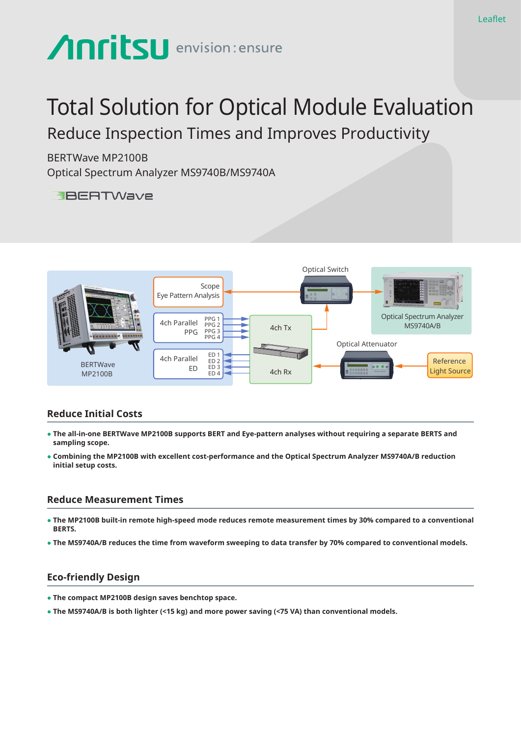# **Anritsu** envision: ensure

# Total Solution for Optical Module Evaluation Reduce Inspection Times and Improves Productivity

BERTWave MP2100B Optical Spectrum Analyzer MS9740B/MS9740A

**EBERTWave** 



# **Reduce Initial Costs**

- **● The all-in-one BERTWave MP2100B supports BERT and Eye-pattern analyses without requiring a separate BERTS and sampling scope.**
- **● Combining the MP2100B with excellent cost-performance and the Optical Spectrum Analyzer MS9740A/B reduction initial setup costs.**

### **Reduce Measurement Times**

- **● The MP2100B built-in remote high-speed mode reduces remote measurement times by 30% compared to a conventional BERTS.**
- **● The MS9740A/B reduces the time from waveform sweeping to data transfer by 70% compared to conventional models.**

## **Eco-friendly Design**

- **● The compact MP2100B design saves benchtop space.**
- **● The MS9740A/B is both lighter (<15 kg) and more power saving (<75 VA) than conventional models.**